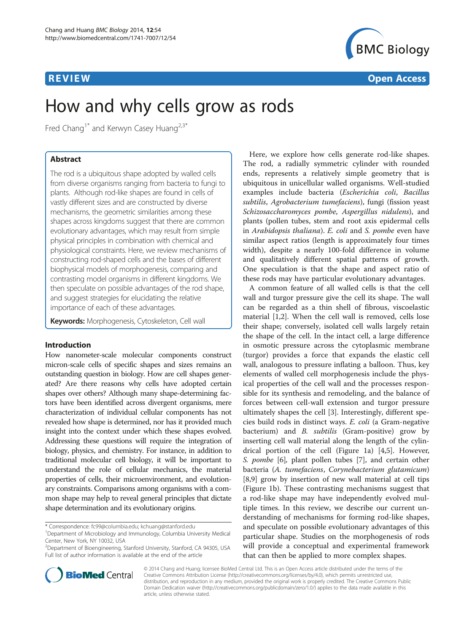

**REVIEW CONSTRUCTION CONSTRUCTION CONSTRUCTS** 

# How and why cells grow as rods

Fred Chang<sup>1\*</sup> and Kerwyn Casey Huang<sup>2,3\*</sup>

# Abstract

The rod is a ubiquitous shape adopted by walled cells from diverse organisms ranging from bacteria to fungi to plants. Although rod-like shapes are found in cells of vastly different sizes and are constructed by diverse mechanisms, the geometric similarities among these shapes across kingdoms suggest that there are common evolutionary advantages, which may result from simple physical principles in combination with chemical and physiological constraints. Here, we review mechanisms of constructing rod-shaped cells and the bases of different biophysical models of morphogenesis, comparing and contrasting model organisms in different kingdoms. We then speculate on possible advantages of the rod shape, and suggest strategies for elucidating the relative importance of each of these advantages.

Keywords: Morphogenesis, Cytoskeleton, Cell wall

# Introduction

How nanometer-scale molecular components construct micron-scale cells of specific shapes and sizes remains an outstanding question in biology. How are cell shapes generated? Are there reasons why cells have adopted certain shapes over others? Although many shape-determining factors have been identified across divergent organisms, mere characterization of individual cellular components has not revealed how shape is determined, nor has it provided much insight into the context under which these shapes evolved. Addressing these questions will require the integration of biology, physics, and chemistry. For instance, in addition to traditional molecular cell biology, it will be important to understand the role of cellular mechanics, the material properties of cells, their microenvironment, and evolutionary constraints. Comparisons among organisms with a common shape may help to reveal general principles that dictate shape determination and its evolutionary origins.

Here, we explore how cells generate rod-like shapes. The rod, a radially symmetric cylinder with rounded ends, represents a relatively simple geometry that is ubiquitous in unicellular walled organisms. Well-studied examples include bacteria (Escherichia coli, Bacillus subtilis, Agrobacterium tumefaciens), fungi (fission yeast Schizosaccharomyces pombe, Aspergillus nidulens), and plants (pollen tubes, stem and root axis epidermal cells in Arabidopsis thaliana). E. coli and S. pombe even have similar aspect ratios (length is approximately four times width), despite a nearly 100-fold difference in volume and qualitatively different spatial patterns of growth. One speculation is that the shape and aspect ratio of these rods may have particular evolutionary advantages.

A common feature of all walled cells is that the cell wall and turgor pressure give the cell its shape. The wall can be regarded as a thin shell of fibrous, viscoelastic material [\[1,2\]](#page-8-0). When the cell wall is removed, cells lose their shape; conversely, isolated cell walls largely retain the shape of the cell. In the intact cell, a large difference in osmotic pressure across the cytoplasmic membrane (turgor) provides a force that expands the elastic cell wall, analogous to pressure inflating a balloon. Thus, key elements of walled cell morphogenesis include the physical properties of the cell wall and the processes responsible for its synthesis and remodeling, and the balance of forces between cell-wall extension and turgor pressure ultimately shapes the cell [[3](#page-8-0)]. Interestingly, different species build rods in distinct ways. E. coli (a Gram-negative bacterium) and B. subtilis (Gram-positive) grow by inserting cell wall material along the length of the cylindrical portion of the cell (Figure [1a](#page-1-0)) [[4](#page-8-0),[5](#page-8-0)]. However, S. *pombe* [[6\]](#page-8-0), plant pollen tubes [\[7\]](#page-8-0), and certain other bacteria (A. tumefaciens, Corynebacterium glutamicum) [[8,9\]](#page-8-0) grow by insertion of new wall material at cell tips (Figure [1](#page-1-0)b). These contrasting mechanisms suggest that a rod-like shape may have independently evolved multiple times. In this review, we describe our current understanding of mechanisms for forming rod-like shapes, and speculate on possible evolutionary advantages of this particular shape. Studies on the morphogenesis of rods will provide a conceptual and experimental framework that can then be applied to more complex shapes.



© 2014 Chang and Huang; licensee BioMed Central Ltd. This is an Open Access article distributed under the terms of the Creative Commons Attribution License (<http://creativecommons.org/licenses/by/4.0>), which permits unrestricted use, distribution, and reproduction in any medium, provided the original work is properly credited. The Creative Commons Public Domain Dedication waiver [\(http://creativecommons.org/publicdomain/zero/1.0/\)](http://creativecommons.org/publicdomain/zero/1.0/) applies to the data made available in this article, unless otherwise stated.

<sup>\*</sup> Correspondence: [fc99@columbia.edu](mailto:fc99@columbia.edu); [kchuang@stanford.edu](mailto:kchuang@stanford.edu) <sup>1</sup>

Department of Microbiology and Immunology, Columbia University Medical Center, New York, NY 10032, USA

<sup>2</sup> Department of Bioengineering, Stanford University, Stanford, CA 94305, USA Full list of author information is available at the end of the article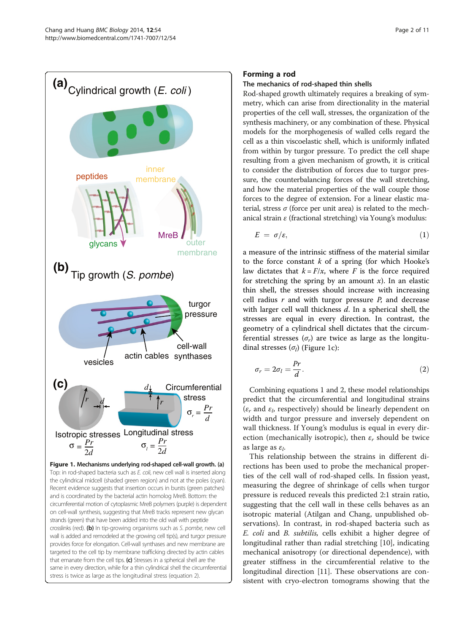<span id="page-1-0"></span>

stress is twice as large as the longitudinal stress (equation 2).

# Forming a rod

#### The mechanics of rod-shaped thin shells

Rod-shaped growth ultimately requires a breaking of symmetry, which can arise from directionality in the material properties of the cell wall, stresses, the organization of the synthesis machinery, or any combination of these. Physical models for the morphogenesis of walled cells regard the cell as a thin viscoelastic shell, which is uniformly inflated from within by turgor pressure. To predict the cell shape resulting from a given mechanism of growth, it is critical to consider the distribution of forces due to turgor pressure, the counterbalancing forces of the wall stretching, and how the material properties of the wall couple those forces to the degree of extension. For a linear elastic material, stress  $\sigma$  (force per unit area) is related to the mechanical strain  $\varepsilon$  (fractional stretching) via Young's modulus:

$$
E = \sigma/\varepsilon, \tag{1}
$$

a measure of the intrinsic stiffness of the material similar to the force constant  $k$  of a spring (for which Hooke's law dictates that  $k = F/x$ , where F is the force required for stretching the spring by an amount  $x$ ). In an elastic thin shell, the stresses should increase with increasing cell radius  $r$  and with turgor pressure  $P$ , and decrease with larger cell wall thickness d. In a spherical shell, the stresses are equal in every direction. In contrast, the geometry of a cylindrical shell dictates that the circumferential stresses  $(\sigma_r)$  are twice as large as the longitudinal stresses  $(\sigma_l)$  (Figure 1c):

$$
\sigma_r = 2\sigma_l = \frac{Pr}{d}.
$$
\n(2)

Combining equations 1 and 2, these model relationships predict that the circumferential and longitudinal strains ( $\varepsilon_r$  and  $\varepsilon_b$  respectively) should be linearly dependent on width and turgor pressure and inversely dependent on wall thickness. If Young's modulus is equal in every direction (mechanically isotropic), then  $\varepsilon_r$  should be twice as large as  $\varepsilon_l$ .

This relationship between the strains in different directions has been used to probe the mechanical properties of the cell wall of rod-shaped cells. In fission yeast, measuring the degree of shrinkage of cells when turgor pressure is reduced reveals this predicted 2:1 strain ratio, suggesting that the cell wall in these cells behaves as an isotropic material (Atilgan and Chang, unpublished observations). In contrast, in rod-shaped bacteria such as E. coli and B. subtilis, cells exhibit a higher degree of longitudinal rather than radial stretching [[10\]](#page-8-0), indicating mechanical anisotropy (or directional dependence), with greater stiffness in the circumferential relative to the longitudinal direction [\[11\]](#page-8-0). These observations are consistent with cryo-electron tomograms showing that the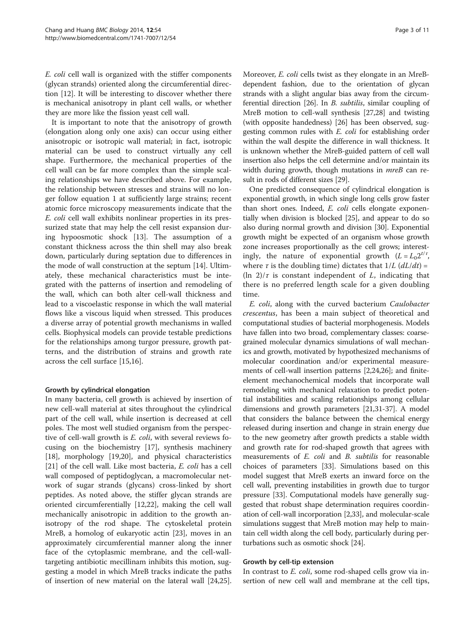E. coli cell wall is organized with the stiffer components (glycan strands) oriented along the circumferential direction [\[12](#page-8-0)]. It will be interesting to discover whether there is mechanical anisotropy in plant cell walls, or whether they are more like the fission yeast cell wall.

It is important to note that the anisotropy of growth (elongation along only one axis) can occur using either anisotropic or isotropic wall material; in fact, isotropic material can be used to construct virtually any cell shape. Furthermore, the mechanical properties of the cell wall can be far more complex than the simple scaling relationships we have described above. For example, the relationship between stresses and strains will no longer follow equation 1 at sufficiently large strains; recent atomic force microscopy measurements indicate that the E. coli cell wall exhibits nonlinear properties in its pressurized state that may help the cell resist expansion during hypoosmotic shock [\[13](#page-8-0)]. The assumption of a constant thickness across the thin shell may also break down, particularly during septation due to differences in the mode of wall construction at the septum [\[14](#page-8-0)]. Ultimately, these mechanical characteristics must be integrated with the patterns of insertion and remodeling of the wall, which can both alter cell-wall thickness and lead to a viscoelastic response in which the wall material flows like a viscous liquid when stressed. This produces a diverse array of potential growth mechanisms in walled cells. Biophysical models can provide testable predictions for the relationships among turgor pressure, growth patterns, and the distribution of strains and growth rate across the cell surface [[15,16](#page-8-0)].

#### Growth by cylindrical elongation

In many bacteria, cell growth is achieved by insertion of new cell-wall material at sites throughout the cylindrical part of the cell wall, while insertion is decreased at cell poles. The most well studied organism from the perspective of cell-wall growth is *E. coli*, with several reviews focusing on the biochemistry [[17\]](#page-8-0), synthesis machinery [[18\]](#page-8-0), morphology [[19](#page-8-0),[20](#page-8-0)], and physical characteristics  $[21]$  $[21]$  of the cell wall. Like most bacteria, E. coli has a cell wall composed of peptidoglycan, a macromolecular network of sugar strands (glycans) cross-linked by short peptides. As noted above, the stiffer glycan strands are oriented circumferentially [[12,22\]](#page-8-0), making the cell wall mechanically anisotropic in addition to the growth anisotropy of the rod shape. The cytoskeletal protein MreB, a homolog of eukaryotic actin [[23](#page-8-0)], moves in an approximately circumferential manner along the inner face of the cytoplasmic membrane, and the cell-walltargeting antibiotic mecillinam inhibits this motion, suggesting a model in which MreB tracks indicate the paths of insertion of new material on the lateral wall [\[24,25](#page-8-0)].

Moreover, E. coli cells twist as they elongate in an MreBdependent fashion, due to the orientation of glycan strands with a slight angular bias away from the circumferential direction [\[26\]](#page-8-0). In B. subtilis, similar coupling of MreB motion to cell-wall synthesis [[27,28](#page-8-0)] and twisting (with opposite handedness) [\[26\]](#page-8-0) has been observed, suggesting common rules with E. coli for establishing order within the wall despite the difference in wall thickness. It is unknown whether the MreB-guided pattern of cell wall insertion also helps the cell determine and/or maintain its width during growth, though mutations in *mreB* can result in rods of different sizes [\[29](#page-8-0)].

One predicted consequence of cylindrical elongation is exponential growth, in which single long cells grow faster than short ones. Indeed, E. coli cells elongate exponentially when division is blocked [\[25\]](#page-8-0), and appear to do so also during normal growth and division [[30](#page-8-0)]. Exponential growth might be expected of an organism whose growth zone increases proportionally as the cell grows; interestingly, the nature of exponential growth  $(L = L_0 2^{t/\tau})$ where  $\tau$  is the doubling time) dictates that  $1/L$  ( $dL/dt$ ) = (ln  $2/\tau$  is constant independent of *L*, indicating that there is no preferred length scale for a given doubling time.

E. coli, along with the curved bacterium Caulobacter crescentus, has been a main subject of theoretical and computational studies of bacterial morphogenesis. Models have fallen into two broad, complementary classes: coarsegrained molecular dynamics simulations of wall mechanics and growth, motivated by hypothesized mechanisms of molecular coordination and/or experimental measurements of cell-wall insertion patterns [\[2,24,26](#page-8-0)]; and finiteelement mechanochemical models that incorporate wall remodeling with mechanical relaxation to predict potential instabilities and scaling relationships among cellular dimensions and growth parameters [\[21,31-37\]](#page-8-0). A model that considers the balance between the chemical energy released during insertion and change in strain energy due to the new geometry after growth predicts a stable width and growth rate for rod-shaped growth that agrees with measurements of E. coli and B. subtilis for reasonable choices of parameters [\[33](#page-8-0)]. Simulations based on this model suggest that MreB exerts an inward force on the cell wall, preventing instabilities in growth due to turgor pressure [\[33\]](#page-8-0). Computational models have generally suggested that robust shape determination requires coordination of cell-wall incorporation [\[2,33\]](#page-8-0), and molecular-scale simulations suggest that MreB motion may help to maintain cell width along the cell body, particularly during perturbations such as osmotic shock [\[24\]](#page-8-0).

#### Growth by cell-tip extension

In contrast to E. coli, some rod-shaped cells grow via insertion of new cell wall and membrane at the cell tips,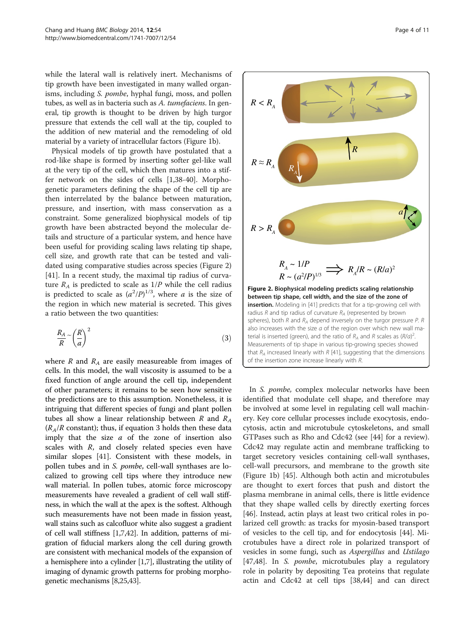while the lateral wall is relatively inert. Mechanisms of tip growth have been investigated in many walled organisms, including S. pombe, hyphal fungi, moss, and pollen tubes, as well as in bacteria such as A. tumefaciens. In general, tip growth is thought to be driven by high turgor pressure that extends the cell wall at the tip, coupled to the addition of new material and the remodeling of old material by a variety of intracellular factors (Figure [1](#page-1-0)b).

Physical models of tip growth have postulated that a rod-like shape is formed by inserting softer gel-like wall at the very tip of the cell, which then matures into a stiffer network on the sides of cells [\[1,38](#page-8-0)-[40\]](#page-9-0). Morphogenetic parameters defining the shape of the cell tip are then interrelated by the balance between maturation, pressure, and insertion, with mass conservation as a constraint. Some generalized biophysical models of tip growth have been abstracted beyond the molecular details and structure of a particular system, and hence have been useful for providing scaling laws relating tip shape, cell size, and growth rate that can be tested and validated using comparative studies across species (Figure 2) [[41\]](#page-9-0). In a recent study, the maximal tip radius of curvature  $R_A$  is predicted to scale as  $1/P$  while the cell radius is predicted to scale as  $(a^2/P)^{1/3}$ , where a is the size of the region in which new material is secreted. This gives a ratio between the two quantities:

$$
\frac{R_A}{R} \sim \left(\frac{R}{a}\right)^2\tag{3}
$$

where  $R$  and  $R_A$  are easily measureable from images of cells. In this model, the wall viscosity is assumed to be a fixed function of angle around the cell tip, independent of other parameters; it remains to be seen how sensitive the predictions are to this assumption. Nonetheless, it is intriguing that different species of fungi and plant pollen tubes all show a linear relationship between R and  $R_A$  $(R_A/R \text{ constant})$ ; thus, if equation 3 holds then these data imply that the size  $a$  of the zone of insertion also scales with  $R$ , and closely related species even have similar slopes [\[41\]](#page-9-0). Consistent with these models, in pollen tubes and in S. *pombe*, cell-wall synthases are localized to growing cell tips where they introduce new wall material. In pollen tubes, atomic force microscopy measurements have revealed a gradient of cell wall stiffness, in which the wall at the apex is the softest. Although such measurements have not been made in fission yeast, wall stains such as calcofluor white also suggest a gradient of cell wall stiffness [[1,7](#page-8-0)[,42\]](#page-9-0). In addition, patterns of migration of fiducial markers along the cell during growth are consistent with mechanical models of the expansion of a hemisphere into a cylinder [\[1,7\]](#page-8-0), illustrating the utility of imaging of dynamic growth patterns for probing morphogenetic mechanisms [\[8,25,](#page-8-0)[43](#page-9-0)].



In S. pombe, complex molecular networks have been identified that modulate cell shape, and therefore may be involved at some level in regulating cell wall machinery. Key core cellular processes include exocytosis, endocytosis, actin and microtubule cytoskeletons, and small GTPases such as Rho and Cdc42 (see [[44](#page-9-0)] for a review). Cdc42 may regulate actin and membrane trafficking to target secretory vesicles containing cell-wall synthases, cell-wall precursors, and membrane to the growth site (Figure [1b](#page-1-0)) [[45\]](#page-9-0). Although both actin and microtubules are thought to exert forces that push and distort the plasma membrane in animal cells, there is little evidence that they shape walled cells by directly exerting forces [[46\]](#page-9-0). Instead, actin plays at least two critical roles in polarized cell growth: as tracks for myosin-based transport of vesicles to the cell tip, and for endocytosis [\[44](#page-9-0)]. Microtubules have a direct role in polarized transport of vesicles in some fungi, such as Aspergillus and Ustilago [[47,48\]](#page-9-0). In S. *pombe*, microtubules play a regulatory role in polarity by depositing Tea proteins that regulate actin and Cdc42 at cell tips [\[38](#page-8-0)[,44](#page-9-0)] and can direct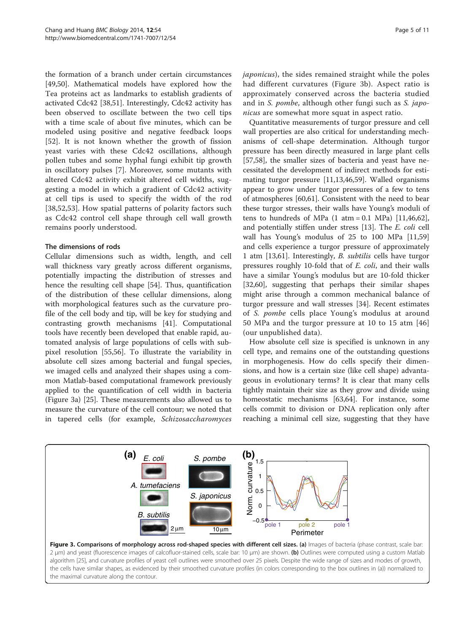<span id="page-4-0"></span>the formation of a branch under certain circumstances [[49,50\]](#page-9-0). Mathematical models have explored how the Tea proteins act as landmarks to establish gradients of activated Cdc42 [[38](#page-8-0),[51](#page-9-0)]. Interestingly, Cdc42 activity has been observed to oscillate between the two cell tips with a time scale of about five minutes, which can be modeled using positive and negative feedback loops [[52\]](#page-9-0). It is not known whether the growth of fission yeast varies with these Cdc42 oscillations, although pollen tubes and some hyphal fungi exhibit tip growth in oscillatory pulses [[7](#page-8-0)]. Moreover, some mutants with altered Cdc42 activity exhibit altered cell widths, suggesting a model in which a gradient of Cdc42 activity at cell tips is used to specify the width of the rod [[38](#page-8-0)[,52,53](#page-9-0)]. How spatial patterns of polarity factors such as Cdc42 control cell shape through cell wall growth remains poorly understood.

#### The dimensions of rods

Cellular dimensions such as width, length, and cell wall thickness vary greatly across different organisms, potentially impacting the distribution of stresses and hence the resulting cell shape [\[54\]](#page-9-0). Thus, quantification of the distribution of these cellular dimensions, along with morphological features such as the curvature profile of the cell body and tip, will be key for studying and contrasting growth mechanisms [[41\]](#page-9-0). Computational tools have recently been developed that enable rapid, automated analysis of large populations of cells with subpixel resolution [\[55,56](#page-9-0)]. To illustrate the variability in absolute cell sizes among bacterial and fungal species, we imaged cells and analyzed their shapes using a common Matlab-based computational framework previously applied to the quantification of cell width in bacteria (Figure 3a) [[25\]](#page-8-0). These measurements also allowed us to measure the curvature of the cell contour; we noted that in tapered cells (for example, Schizosaccharomyces japonicus), the sides remained straight while the poles had different curvatures (Figure 3b). Aspect ratio is approximately conserved across the bacteria studied and in S. pombe, although other fungi such as S. japonicus are somewhat more squat in aspect ratio.

Quantitative measurements of turgor pressure and cell wall properties are also critical for understanding mechanisms of cell-shape determination. Although turgor pressure has been directly measured in large plant cells [[57,58\]](#page-9-0), the smaller sizes of bacteria and yeast have necessitated the development of indirect methods for estimating turgor pressure [[11](#page-8-0),[13](#page-8-0),[46](#page-9-0),[59](#page-9-0)]. Walled organisms appear to grow under turgor pressures of a few to tens of atmospheres [\[60,61](#page-9-0)]. Consistent with the need to bear these turgor stresses, their walls have Young's moduli of tens to hundreds of MPa  $(1 \text{ atm} = 0.1 \text{ MPa})$   $[11,46,62]$  $[11,46,62]$  $[11,46,62]$  $[11,46,62]$ , and potentially stiffen under stress [\[13](#page-8-0)]. The E. coli cell wall has Young's modulus of 25 to 100 MPa [[11](#page-8-0),[59](#page-9-0)] and cells experience a turgor pressure of approximately 1 atm [\[13](#page-8-0)[,61](#page-9-0)]. Interestingly, B. subtilis cells have turgor pressures roughly 10-fold that of E. coli, and their walls have a similar Young's modulus but are 10-fold thicker [[32,](#page-8-0)[60\]](#page-9-0), suggesting that perhaps their similar shapes might arise through a common mechanical balance of turgor pressure and wall stresses [[34\]](#page-8-0). Recent estimates of S. pombe cells place Young's modulus at around 50 MPa and the turgor pressure at 10 to 15 atm [\[46](#page-9-0)] (our unpublished data).

How absolute cell size is specified is unknown in any cell type, and remains one of the outstanding questions in morphogenesis. How do cells specify their dimensions, and how is a certain size (like cell shape) advantageous in evolutionary terms? It is clear that many cells tightly maintain their size as they grow and divide using homeostatic mechanisms [[63,64\]](#page-9-0). For instance, some cells commit to division or DNA replication only after reaching a minimal cell size, suggesting that they have



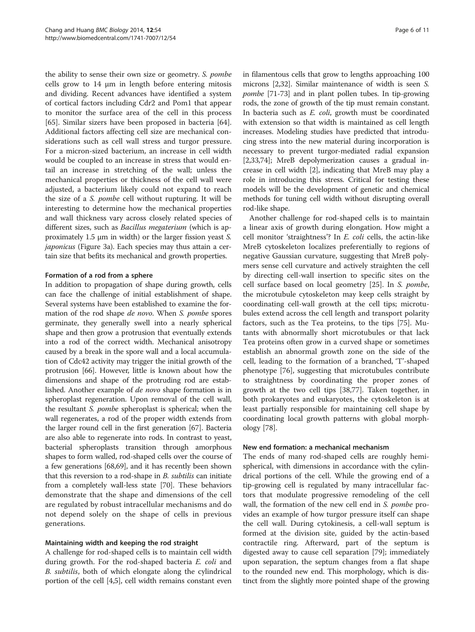the ability to sense their own size or geometry. S. pombe cells grow to 14 μm in length before entering mitosis and dividing. Recent advances have identified a system of cortical factors including Cdr2 and Pom1 that appear to monitor the surface area of the cell in this process [[65\]](#page-9-0). Similar sizers have been proposed in bacteria [\[64](#page-9-0)]. Additional factors affecting cell size are mechanical considerations such as cell wall stress and turgor pressure. For a micron-sized bacterium, an increase in cell width would be coupled to an increase in stress that would entail an increase in stretching of the wall; unless the mechanical properties or thickness of the cell wall were adjusted, a bacterium likely could not expand to reach the size of a S. pombe cell without rupturing. It will be interesting to determine how the mechanical properties and wall thickness vary across closely related species of different sizes, such as *Bacillus megaterium* (which is approximately 1.5 μm in width) or the larger fission yeast S. japonicus (Figure [3](#page-4-0)a). Each species may thus attain a certain size that befits its mechanical and growth properties.

#### Formation of a rod from a sphere

In addition to propagation of shape during growth, cells can face the challenge of initial establishment of shape. Several systems have been established to examine the formation of the rod shape de novo. When S. pombe spores germinate, they generally swell into a nearly spherical shape and then grow a protrusion that eventually extends into a rod of the correct width. Mechanical anisotropy caused by a break in the spore wall and a local accumulation of Cdc42 activity may trigger the initial growth of the protrusion [\[66\]](#page-9-0). However, little is known about how the dimensions and shape of the protruding rod are established. Another example of de novo shape formation is in spheroplast regeneration. Upon removal of the cell wall, the resultant S. pombe spheroplast is spherical; when the wall regenerates, a rod of the proper width extends from the larger round cell in the first generation [[67\]](#page-9-0). Bacteria are also able to regenerate into rods. In contrast to yeast, bacterial spheroplasts transition through amorphous shapes to form walled, rod-shaped cells over the course of a few generations [[68](#page-9-0),[69](#page-9-0)], and it has recently been shown that this reversion to a rod-shape in *B. subtilis* can initiate from a completely wall-less state [\[70\]](#page-9-0). These behaviors demonstrate that the shape and dimensions of the cell are regulated by robust intracellular mechanisms and do not depend solely on the shape of cells in previous generations.

# Maintaining width and keeping the rod straight

A challenge for rod-shaped cells is to maintain cell width during growth. For the rod-shaped bacteria *E. coli* and B. subtilis, both of which elongate along the cylindrical portion of the cell [[4,5](#page-8-0)], cell width remains constant even in filamentous cells that grow to lengths approaching 100 microns [[2,32](#page-8-0)]. Similar maintenance of width is seen S. pombe [\[71-73\]](#page-9-0) and in plant pollen tubes. In tip-growing rods, the zone of growth of the tip must remain constant. In bacteria such as *E. coli*, growth must be coordinated with extension so that width is maintained as cell length increases. Modeling studies have predicted that introducing stress into the new material during incorporation is necessary to prevent turgor-mediated radial expansion [[2,33](#page-8-0)[,74](#page-9-0)]; MreB depolymerization causes a gradual increase in cell width [\[2](#page-8-0)], indicating that MreB may play a role in introducing this stress. Critical for testing these models will be the development of genetic and chemical methods for tuning cell width without disrupting overall rod-like shape.

Another challenge for rod-shaped cells is to maintain a linear axis of growth during elongation. How might a cell monitor 'straightness'? In E. coli cells, the actin-like MreB cytoskeleton localizes preferentially to regions of negative Gaussian curvature, suggesting that MreB polymers sense cell curvature and actively straighten the cell by directing cell-wall insertion to specific sites on the cell surface based on local geometry [\[25](#page-8-0)]. In S. pombe, the microtubule cytoskeleton may keep cells straight by coordinating cell-wall growth at the cell tips; microtubules extend across the cell length and transport polarity factors, such as the Tea proteins, to the tips [\[75](#page-9-0)]. Mutants with abnormally short microtubules or that lack Tea proteins often grow in a curved shape or sometimes establish an abnormal growth zone on the side of the cell, leading to the formation of a branched, 'T'-shaped phenotype [\[76\]](#page-9-0), suggesting that microtubules contribute to straightness by coordinating the proper zones of growth at the two cell tips [\[38](#page-8-0)[,77\]](#page-9-0). Taken together, in both prokaryotes and eukaryotes, the cytoskeleton is at least partially responsible for maintaining cell shape by coordinating local growth patterns with global morphology [[78\]](#page-9-0).

#### New end formation: a mechanical mechanism

The ends of many rod-shaped cells are roughly hemispherical, with dimensions in accordance with the cylindrical portions of the cell. While the growing end of a tip-growing cell is regulated by many intracellular factors that modulate progressive remodeling of the cell wall, the formation of the new cell end in S. *pombe* provides an example of how turgor pressure itself can shape the cell wall. During cytokinesis, a cell-wall septum is formed at the division site, guided by the actin-based contractile ring. Afterward, part of the septum is digested away to cause cell separation [[79\]](#page-9-0); immediately upon separation, the septum changes from a flat shape to the rounded new end. This morphology, which is distinct from the slightly more pointed shape of the growing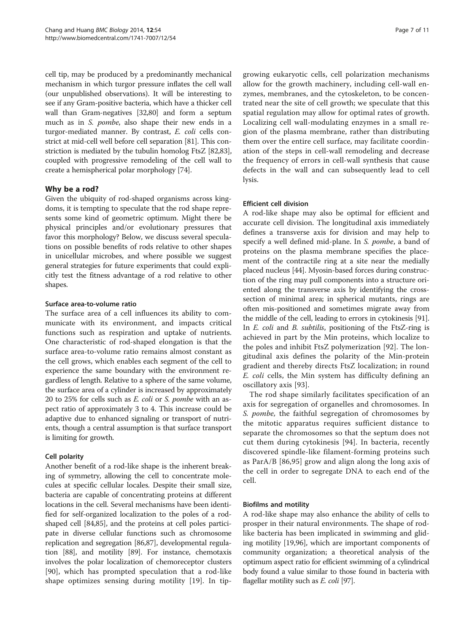cell tip, may be produced by a predominantly mechanical mechanism in which turgor pressure inflates the cell wall (our unpublished observations). It will be interesting to see if any Gram-positive bacteria, which have a thicker cell wall than Gram-negatives [\[32](#page-8-0)[,80\]](#page-9-0) and form a septum much as in S. *pombe*, also shape their new ends in a turgor-mediated manner. By contrast, E. coli cells constrict at mid-cell well before cell separation [[81](#page-9-0)]. This constriction is mediated by the tubulin homolog FtsZ [\[82,83](#page-9-0)], coupled with progressive remodeling of the cell wall to create a hemispherical polar morphology [[74](#page-9-0)].

# Why be a rod?

Given the ubiquity of rod-shaped organisms across kingdoms, it is tempting to speculate that the rod shape represents some kind of geometric optimum. Might there be physical principles and/or evolutionary pressures that favor this morphology? Below, we discuss several speculations on possible benefits of rods relative to other shapes in unicellular microbes, and where possible we suggest general strategies for future experiments that could explicitly test the fitness advantage of a rod relative to other shapes.

# Surface area-to-volume ratio

The surface area of a cell influences its ability to communicate with its environment, and impacts critical functions such as respiration and uptake of nutrients. One characteristic of rod-shaped elongation is that the surface area-to-volume ratio remains almost constant as the cell grows, which enables each segment of the cell to experience the same boundary with the environment regardless of length. Relative to a sphere of the same volume, the surface area of a cylinder is increased by approximately 20 to 25% for cells such as E. coli or S. pombe with an aspect ratio of approximately 3 to 4. This increase could be adaptive due to enhanced signaling or transport of nutrients, though a central assumption is that surface transport is limiting for growth.

# Cell polarity

Another benefit of a rod-like shape is the inherent breaking of symmetry, allowing the cell to concentrate molecules at specific cellular locales. Despite their small size, bacteria are capable of concentrating proteins at different locations in the cell. Several mechanisms have been identified for self-organized localization to the poles of a rodshaped cell [\[84,85\]](#page-9-0), and the proteins at cell poles participate in diverse cellular functions such as chromosome replication and segregation [\[86,87\]](#page-9-0), developmental regulation [[88](#page-9-0)], and motility [[89](#page-9-0)]. For instance, chemotaxis involves the polar localization of chemoreceptor clusters [[90\]](#page-9-0), which has prompted speculation that a rod-like shape optimizes sensing during motility [[19\]](#page-8-0). In tip-

growing eukaryotic cells, cell polarization mechanisms allow for the growth machinery, including cell-wall enzymes, membranes, and the cytoskeleton, to be concentrated near the site of cell growth; we speculate that this spatial regulation may allow for optimal rates of growth. Localizing cell wall-modulating enzymes in a small region of the plasma membrane, rather than distributing them over the entire cell surface, may facilitate coordination of the steps in cell-wall remodeling and decrease the frequency of errors in cell-wall synthesis that cause defects in the wall and can subsequently lead to cell lysis.

# Efficient cell division

A rod-like shape may also be optimal for efficient and accurate cell division. The longitudinal axis immediately defines a transverse axis for division and may help to specify a well defined mid-plane. In S. pombe, a band of proteins on the plasma membrane specifies the placement of the contractile ring at a site near the medially placed nucleus [\[44\]](#page-9-0). Myosin-based forces during construction of the ring may pull components into a structure oriented along the transverse axis by identifying the crosssection of minimal area; in spherical mutants, rings are often mis-positioned and sometimes migrate away from the middle of the cell, leading to errors in cytokinesis [[91](#page-9-0)]. In E. coli and B. subtilis, positioning of the FtsZ-ring is achieved in part by the Min proteins, which localize to the poles and inhibit FtsZ polymerization [[92\]](#page-10-0). The longitudinal axis defines the polarity of the Min-protein gradient and thereby directs FtsZ localization; in round E. coli cells, the Min system has difficulty defining an oscillatory axis [[93\]](#page-10-0).

The rod shape similarly facilitates specification of an axis for segregation of organelles and chromosomes. In S. pombe, the faithful segregation of chromosomes by the mitotic apparatus requires sufficient distance to separate the chromosomes so that the septum does not cut them during cytokinesis [[94\]](#page-10-0). In bacteria, recently discovered spindle-like filament-forming proteins such as ParA/B [\[86](#page-9-0),[95\]](#page-10-0) grow and align along the long axis of the cell in order to segregate DNA to each end of the cell.

# Biofilms and motility

A rod-like shape may also enhance the ability of cells to prosper in their natural environments. The shape of rodlike bacteria has been implicated in swimming and gliding motility [[19,](#page-8-0)[96\]](#page-10-0), which are important components of community organization; a theoretical analysis of the optimum aspect ratio for efficient swimming of a cylindrical body found a value similar to those found in bacteria with flagellar motility such as E. coli [[97](#page-10-0)].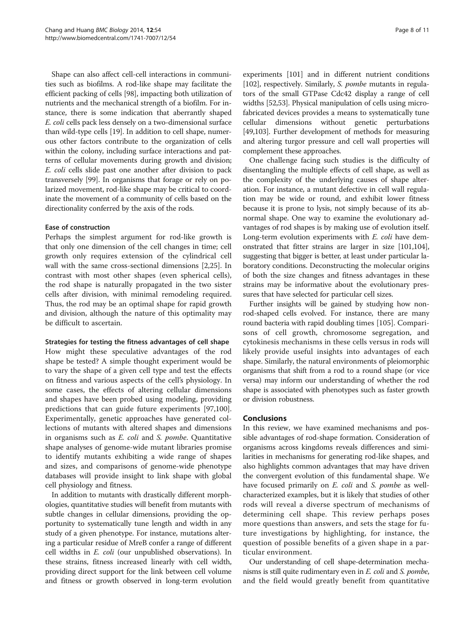Shape can also affect cell-cell interactions in communities such as biofilms. A rod-like shape may facilitate the efficient packing of cells [[98](#page-10-0)], impacting both utilization of nutrients and the mechanical strength of a biofilm. For instance, there is some indication that aberrantly shaped E. coli cells pack less densely on a two-dimensional surface than wild-type cells [[19](#page-8-0)]. In addition to cell shape, numerous other factors contribute to the organization of cells within the colony, including surface interactions and patterns of cellular movements during growth and division; E. coli cells slide past one another after division to pack transversely [\[99](#page-10-0)]. In organisms that forage or rely on polarized movement, rod-like shape may be critical to coordinate the movement of a community of cells based on the directionality conferred by the axis of the rods.

#### Ease of construction

Perhaps the simplest argument for rod-like growth is that only one dimension of the cell changes in time; cell growth only requires extension of the cylindrical cell wall with the same cross-sectional dimensions [\[2,25\]](#page-8-0). In contrast with most other shapes (even spherical cells), the rod shape is naturally propagated in the two sister cells after division, with minimal remodeling required. Thus, the rod may be an optimal shape for rapid growth and division, although the nature of this optimality may be difficult to ascertain.

#### Strategies for testing the fitness advantages of cell shape

How might these speculative advantages of the rod shape be tested? A simple thought experiment would be to vary the shape of a given cell type and test the effects on fitness and various aspects of the cell's physiology. In some cases, the effects of altering cellular dimensions and shapes have been probed using modeling, providing predictions that can guide future experiments [[97,100](#page-10-0)]. Experimentally, genetic approaches have generated collections of mutants with altered shapes and dimensions in organisms such as E. coli and S. pombe. Quantitative shape analyses of genome-wide mutant libraries promise to identify mutants exhibiting a wide range of shapes and sizes, and comparisons of genome-wide phenotype databases will provide insight to link shape with global cell physiology and fitness.

In addition to mutants with drastically different morphologies, quantitative studies will benefit from mutants with subtle changes in cellular dimensions, providing the opportunity to systematically tune length and width in any study of a given phenotype. For instance, mutations altering a particular residue of MreB confer a range of different cell widths in E. coli (our unpublished observations). In these strains, fitness increased linearly with cell width, providing direct support for the link between cell volume and fitness or growth observed in long-term evolution

experiments [\[101](#page-10-0)] and in different nutrient conditions [[102](#page-10-0)], respectively. Similarly, S. pombe mutants in regulators of the small GTPase Cdc42 display a range of cell widths [[52,53](#page-9-0)]. Physical manipulation of cells using microfabricated devices provides a means to systematically tune cellular dimensions without genetic perturbations [[49](#page-9-0),[103](#page-10-0)]. Further development of methods for measuring and altering turgor pressure and cell wall properties will complement these approaches.

One challenge facing such studies is the difficulty of disentangling the multiple effects of cell shape, as well as the complexity of the underlying causes of shape alteration. For instance, a mutant defective in cell wall regulation may be wide or round, and exhibit lower fitness because it is prone to lysis, not simply because of its abnormal shape. One way to examine the evolutionary advantages of rod shapes is by making use of evolution itself. Long-term evolution experiments with E. coli have demonstrated that fitter strains are larger in size [\[101,104](#page-10-0)], suggesting that bigger is better, at least under particular laboratory conditions. Deconstructing the molecular origins of both the size changes and fitness advantages in these strains may be informative about the evolutionary pressures that have selected for particular cell sizes.

Further insights will be gained by studying how nonrod-shaped cells evolved. For instance, there are many round bacteria with rapid doubling times [\[105](#page-10-0)]. Comparisons of cell growth, chromosome segregation, and cytokinesis mechanisms in these cells versus in rods will likely provide useful insights into advantages of each shape. Similarly, the natural environments of pleiomorphic organisms that shift from a rod to a round shape (or vice versa) may inform our understanding of whether the rod shape is associated with phenotypes such as faster growth or division robustness.

# Conclusions

In this review, we have examined mechanisms and possible advantages of rod-shape formation. Consideration of organisms across kingdoms reveals differences and similarities in mechanisms for generating rod-like shapes, and also highlights common advantages that may have driven the convergent evolution of this fundamental shape. We have focused primarily on *E. coli* and *S. pombe* as wellcharacterized examples, but it is likely that studies of other rods will reveal a diverse spectrum of mechanisms of determining cell shape. This review perhaps poses more questions than answers, and sets the stage for future investigations by highlighting, for instance, the question of possible benefits of a given shape in a particular environment.

Our understanding of cell shape-determination mechanisms is still quite rudimentary even in *E. coli* and *S. pombe*, and the field would greatly benefit from quantitative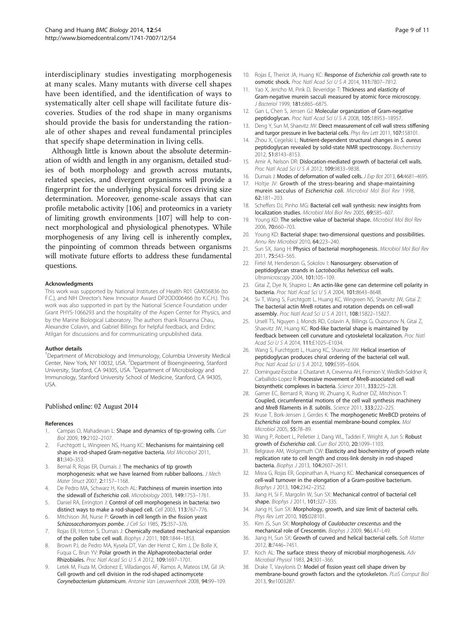<span id="page-8-0"></span>interdisciplinary studies investigating morphogenesis at many scales. Many mutants with diverse cell shapes have been identified, and the identification of ways to systematically alter cell shape will facilitate future discoveries. Studies of the rod shape in many organisms should provide the basis for understanding the rationale of other shapes and reveal fundamental principles that specify shape determination in living cells.

Although little is known about the absolute determination of width and length in any organism, detailed studies of both morphology and growth across mutants, related species, and divergent organisms will provide a fingerprint for the underlying physical forces driving size determination. Moreover, genome-scale assays that can profile metabolic activity [\[106\]](#page-10-0) and proteomics in a variety of limiting growth environments [[107](#page-10-0)] will help to connect morphological and physiological phenotypes. While morphogenesis of any living cell is inherently complex, the pinpointing of common threads between organisms will motivate future efforts to address these fundamental questions.

#### Acknowledgments

This work was supported by National Institutes of Health R01 GM056836 (to F.C.), and NIH Director's New Innovator Award DP2OD006466 (to K.C.H.). This work was also supported in part by the National Science Foundation under Grant PHYS-1066293 and the hospitality of the Aspen Center for Physics, and by the Marine Biological Laboratory. The authors thank Rosanna Chau, Alexandre Colavin, and Gabriel Billings for helpful feedback, and Erdinc Atilgan for discussions and for communicating unpublished data.

#### Author details

<sup>1</sup>Department of Microbiology and Immunology, Columbia University Medical Center, New York, NY 10032, USA. <sup>2</sup>Department of Bioengineering, Stanford University, Stanford, CA 94305, USA. <sup>3</sup>Department of Microbiology and Immunology, Stanford University School of Medicine, Stanford, CA 94305, USA.

#### Published online: 02 August 2014

#### References

- 1. Campas O, Mahadevan L: Shape and dynamics of tip-growing cells. Curr Biol 2009, 19:2102–2107.
- Furchtgott L, Wingreen NS, Huang KC: Mechanisms for maintaining cell shape in rod-shaped Gram-negative bacteria. Mol Microbiol 2011, 81:340–353.
- 3. Bernal R, Rojas ER, Dumais J: The mechanics of tip growth morphogenesis: what we have learned from rubber balloons. J Mech Mater Struct 2007, 2:1157–1168.
- 4. De Pedro MA, Schwarz H, Koch AL: Patchiness of murein insertion into the sidewall of Escherichia coli. Microbiology 2003, 149:1753–1761.
- 5. Daniel RA, Errington J: Control of cell morphogenesis in bacteria: two distinct ways to make a rod-shaped cell. Cell 2003, 113:767–776.
- 6. Mitchison JM, Nurse P: Growth in cell length in the fission yeast Schizosaccharomyces pombe. J Cell Sci 1985, 75:357-376.
- 7. Rojas ER, Hotton S, Dumais J: Chemically mediated mechanical expansion of the pollen tube cell wall. Biophys J 2011, 101:1844–1853.
- Brown PJ, de Pedro MA, Kysela DT, Van der Henst C, Kim J, De Bolle X, Fuqua C, Brun YV: Polar growth in the Alphaproteobacterial order Rhizobiales. Proc Natl Acad Sci U S A 2012, 109:1697–1701.
- Letek M, Fiuza M, Ordonez E, Villadangos AF, Ramos A, Mateos LM, Gil JA: Cell growth and cell division in the rod-shaped actinomycete Corynebacterium glutamicum. Antonie Van Leeuwenhoek 2008, 94:99–109.
- 10. Rojas E, Theriot JA, Huang KC: Response of Escherichia coli growth rate to osmotic shock. Proc Natl Acad Sci U S A 2014, 111:7807–7812.
- 11. Yao X, Jericho M, Pink D, Beveridge T: Thickness and elasticity of Gram-negative murein sacculi measured by atomic force microscopy. J Bacteriol 1999, 181:6865–6875.
- 12. Gan L, Chen S, Jensen GJ: Molecular organization of Gram-negative peptidoglycan. Proc Natl Acad Sci U S A 2008, 105:18953–18957.
- 13. Deng Y, Sun M, Shaevitz JW: Direct measurement of cell wall stress stiffening and turgor pressure in live bacterial cells. Phys Rev Lett 2011, 107:158101.
- 14. Zhou X, Cegelski L: Nutrient-dependent structural changes in S. aureus peptidoglycan revealed by solid-state NMR spectroscopy. Biochemistry 2012, 51:8143–8153.
- 15. Amir A, Nelson DR: Dislocation-mediated growth of bacterial cell walls. Proc Natl Acad Sci U S A 2012, 109:9833–9838.
- 16. Dumais J: Modes of deformation of walled cells. J Exp Bot 2013, 64:4681-4695.
- 17. Holtje JV: Growth of the stress-bearing and shape-maintaining murein sacculus of Escherichia coli. Microbiol Mol Biol Rev 1998, 62:181–203.
- 18. Scheffers DJ, Pinho MG: Bacterial cell wall synthesis: new insights from localization studies. Microbiol Mol Biol Rev 2005, 69:585–607.
- 19. Young KD: The selective value of bacterial shape. Microbiol Mol Biol Rev 2006, 70:660–703.
- 20. Young KD: Bacterial shape: two-dimensional questions and possibilities. Annu Rev Microbiol 2010, 64:223–240.
- 21. Sun SX, Jiang H: Physics of bacterial morphogenesis. Microbiol Mol Biol Rev 2011, 75:543–565.
- 22. Firtel M, Henderson G, Sokolov I: Nanosurgery: observation of peptidoglycan strands in Lactobacillus helveticus cell walls. Ultramicroscopy 2004, 101:105–109.
- 23. Gitai Z, Dye N, Shapiro L: An actin-like gene can determine cell polarity in bacteria. Proc Natl Acad Sci U S A 2004, 101:8643–8648.
- 24. Sv T, Wang S, Furchtgott L, Huang KC, Wingreen NS, Shaevitz JW, Gitai Z: The bacterial actin MreB rotates and rotation depends on cell-wall assembly. Proc Natl Acad Sci U S A 2011, 108:15822–15827.
- 25. Ursell TS, Nguyen J, Monds RD, Colavin A, Billings G, Ouzounov N, Gitai Z, Shaevitz JW, Huang KC: Rod-like bacterial shape is maintained by feedback between cell curvature and cytoskeletal localization. Proc Natl Acad Sci U S A 2014, 111:E1025–E1034.
- 26. Wang S, Furchtgott L, Huang KC, Shaevitz JW: Helical insertion of peptidoglycan produces chiral ordering of the bacterial cell wall. Proc Natl Acad Sci U S A 2012, 109:E595–E604.
- 27. Dominguez-Escobar J, Chastanet A, Crevenna AH, Fromion V, Wedlich-Soldner R, Carballido-Lopez R: Processive movement of MreB-associated cell wall biosynthetic complexes in bacteria. Science 2011, 333:225–228.
- 28. Garner EC, Bernard R, Wang W, Zhuang X, Rudner DZ, Mitchison T: Coupled, circumferential motions of the cell wall synthesis machinery and MreB filaments in B. subtilis. Science 2011, 333:222–225.
- 29. Kruse T, Bork-Jensen J, Gerdes K: The morphogenetic MreBCD proteins of Escherichia coli form an essential membrane-bound complex. Mol Microbiol 2005, 55:78–89.
- 30. Wang P, Robert L, Pelletier J, Dang WL, Taddei F, Wright A, Jun S: Robust growth of Escherichia coli. Curr Biol 2010, 20:1099-1103.
- 31. Belgrave AM, Wolgemuth CW: Elasticity and biochemistry of growth relate replication rate to cell length and cross-link density in rod-shaped bacteria. Biophys J 2013, 104:2607–2611.
- 32. Misra G, Rojas ER, Gopinathan A, Huang KC: Mechanical consequences of cell-wall turnover in the elongation of a Gram-positive bacterium. Biophys J 2013, 104:2342–2352.
- 33. Jiang H, Si F, Margolin W, Sun SX: Mechanical control of bacterial cell shape. Biophys J 2011, 101:327-335.
- 34. Jiang H, Sun SX: Morphology, growth, and size limit of bacterial cells. Phys Rev Lett 2010, 105:028101.
- 35. Kim JS, Sun SX: Morphology of Caulobacter crescentus and the mechanical role of Crescentin. Biophys J 2009, 96:L47–L49.
- 36. Jiang H, Sun SX: Growth of curved and helical bacterial cells. Soft Matter 2012, 8:7446–7451.
- 37. Koch AL: The surface stress theory of microbial morphogenesis. Adv Microbial Physiol 1983, 24:301–366.
- 38. Drake T, Vavylonis D: Model of fission yeast cell shape driven by membrane-bound growth factors and the cytoskeleton. PLoS Comput Biol 2013, 9:e1003287.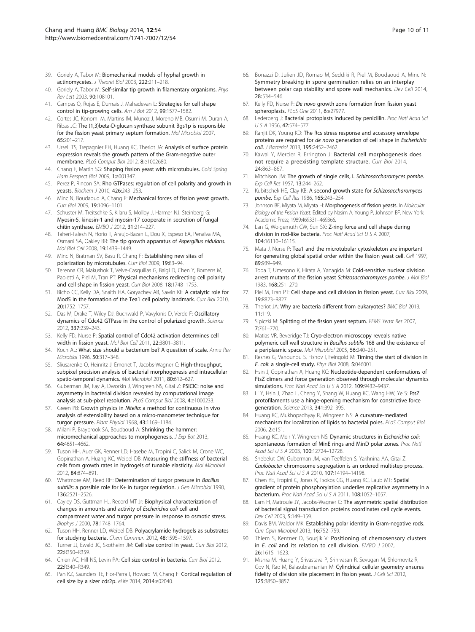- <span id="page-9-0"></span>39. Goriely A, Tabor M: Biomechanical models of hyphal growth in actinomycetes. J Theoret Biol 2003, 222:211–218.
- 40. Goriely A, Tabor M: Self-similar tip growth in filamentary organisms. Phys Rev Lett 2003, 90:108101.
- 41. Campas O, Rojas E, Dumais J, Mahadevan L: Strategies for cell shape control in tip-growing cells. Am J Bot 2012, 99:1577–1582.
- 42. Cortes JC, Konomi M, Martins IM, Munoz J, Moreno MB, Osumi M, Duran A, Ribas JC: The (1,3)beta-D-glucan synthase subunit Bgs1p is responsible for the fission yeast primary septum formation. Mol Microbiol 2007, 65:201–217.
- 43. Ursell TS, Trepagnier EH, Huang KC, Theriot JA: Analysis of surface protein expression reveals the growth pattern of the Gram-negative outer membrane. PLoS Comput Biol 2012, 8:e1002680.
- 44. Chang F, Martin SG: Shaping fission yeast with microtubules. Cold Spring Harb Perspect Biol 2009, 1:a001347.
- 45. Perez P, Rincon SA: Rho GTPases: regulation of cell polarity and growth in yeasts. Biochem J 2010, 426:243–253.
- 46. Minc N, Boudaoud A, Chang F: Mechanical forces of fission yeast growth. Curr Biol 2009, 19:1096–1101.
- 47. Schuster M, Treitschke S, Kilaru S, Molloy J, Harmer NJ, Steinberg G: Myosin-5, kinesin-1 and myosin-17 cooperate in secretion of fungal chitin synthase. EMBO J 2012, 31:214–227.
- 48. Taheri-Talesh N, Horio T, Araujo-Bazan L, Dou X, Espeso EA, Penalva MA, Osmani SA, Oakley BR: The tip growth apparatus of Aspergillus nidulans. Mol Biol Cell 2008, 19:1439–1449.
- 49. Minc N, Bratman SV, Basu R, Chang F: Establishing new sites of polarization by microtubules. Curr Biol 2009, 19:83–94.
- 50. Terenna CR, Makushok T, Velve-Casquillas G, Baigl D, Chen Y, Bornens M, Paoletti A, Piel M, Tran PT: Physical mechanisms redirecting cell polarity and cell shape in fission yeast. Curr Biol 2008, 18:1748–1753.
- 51. Bicho CC, Kelly DA, Snaith HA, Goryachev AB, Sawin KE: A catalytic role for Mod5 in the formation of the Tea1 cell polarity landmark. Curr Biol 2010, 20:1752–1757.
- 52. Das M, Drake T, Wiley DJ, Buchwald P, Vavylonis D, Verde F: Oscillatory dynamics of Cdc42 GTPase in the control of polarized growth. Science 2012, 337:239–243.
- 53. Kelly FD, Nurse P: Spatial control of Cdc42 activation determines cell width in fission yeast. Mol Biol Cell 2011, 22:3801–3811.
- 54. Koch AL: What size should a bacterium be? A question of scale. Annu Rev Microbiol 1996, 50:317–348.
- 55. Sliusarenko O, Heinritz J, Emonet T, Jacobs-Wagner C: High-throughput, subpixel precision analysis of bacterial morphogenesis and intracellular spatio-temporal dynamics. Mol Microbiol 2011, 80:612–627.
- 56. Guberman JM, Fay A, Dworkin J, Wingreen NS, Gitai Z: PSICIC: noise and asymmetry in bacterial division revealed by computational image analysis at sub-pixel resolution. PLoS Comput Biol 2008, 4:e1000233.
- 57. Green PB: Growth physics in Nitella: a method for continuous in vivo analysis of extensibility based on a micro-manometer technique for turgor pressure. Plant Physiol 1968, 43:1169–1184.
- 58. Milani P, Braybrook SA, Boudaoud A: Shrinking the hammer: micromechanical approaches to morphogenesis. J Exp Bot 2013, 64:4651–4662.
- 59. Tuson HH, Auer GK, Renner LD, Hasebe M, Tropini C, Salick M, Crone WC, Gopinathan A, Huang KC, Weibel DB: Measuring the stiffness of bacterial cells from growth rates in hydrogels of tunable elasticity. Mol Microbiol 2012, 84:874–891.
- 60. Whatmore AM, Reed RH: Determination of turgor pressure in Bacillus subtilis: a possible role for K+ in turgor regulation. J Gen Microbiol 1990, 136:2521–2526.
- 61. Cayley DS, Guttman HJ, Record MT Jr: Biophysical characterization of changes in amounts and activity of Escherichia coli cell and compartment water and turgor pressure in response to osmotic stress. Biophys J 2000, 78:1748–1764.
- 62. Tuson HH, Renner LD, Weibel DB: Polyacrylamide hydrogels as substrates for studying bacteria. Chem Commun 2012, 48:1595–1597.
- 63. Turner JJ, Ewald JC, Skotheim JM: Cell size control in yeast. Curr Biol 2012, 22:R350–R359.
- 64. Chien AC, Hill NS, Levin PA: Cell size control in bacteria. Curr Biol 2012, 22:R340–R349.
- 65. Pan KZ, Saunders TE, Flor-Parra I, Howard M, Chang F: Cortical regulation of cell size by a sizer cdr2p. eLife 2014, 2014:e02040.
- 66. Bonazzi D, Julien JD, Romao M, Seddiki R, Piel M, Boudaoud A, Minc N: Symmetry breaking in spore germination relies on an interplay between polar cap stability and spore wall mechanics. Dev Cell 2014, 28:534–546.
- 67. Kelly FD, Nurse P: De novo growth zone formation from fission yeast spheroplasts. PLoS One 2011, 6:e27977.
- 68. Lederberg J: Bacterial protoplasts induced by penicillin. Proc Natl Acad Sci USA 1956, 42:574–577.
- 69. Ranjit DK, Young KD: The Rcs stress response and accessory envelope proteins are required for de novo generation of cell shape in Escherichia coli. J Bacteriol 2013, 195:2452–2462.
- 70. Kawai Y, Mercier R, Errington J: Bacterial cell morphogenesis does not require a preexisting template structure. Curr Biol 2014, 24:863–867.
- 71. Mitchison JM: The growth of single cells, I. Schizosaccharomyces pombe. Exp Cell Res 1957, 13:244–262.
- 72. Kubitschek HE, Clay KB: A second growth state for Schizosaccharomyces pombe. Exp Cell Res 1986, 165:243–254.
- 73. Johnson BF, Miyata M, Miyata H: Morphogenesis of fission yeasts. In Molecular Biology of the Fission Yeast. Edited by Nasim A, Young P, Johnson BF. New York: Academic Press; 1989:469331–469366.
- 74. Lan G, Wolgemuth CW, Sun SX: Z-ring force and cell shape during division in rod-like bacteria. Proc Natl Acad Sci U S A 2007, 104:16110–16115.
- 75. Mata J, Nurse P: Tea1 and the microtubular cytoskeleton are important for generating global spatial order within the fission yeast cell. Cell 1997, 89:939–949.
- 76. Toda T, Umesono K, Hirata A, Yanagida M: Cold-sensitive nuclear division arrest mutants of the fission yeast Schizosaccharomyces pombe. J Mol Biol 1983, 168:251–270.
- 77. Piel M, Tran PT: Cell shape and cell division in fission yeast. Curr Biol 2009, 19:R823–R827.
- 78. Theriot JA: Why are bacteria different from eukaryotes? BMC Biol 2013, 11:119.
- 79. Sipiczki M: Splitting of the fission yeast septum. FEMS Yeast Res 2007, 7:761–770.
- 80. Matias VR, Beveridge TJ: Cryo-electron microscopy reveals native polymeric cell wall structure in Bacillus subtilis 168 and the existence of a periplasmic space. Mol Microbiol 2005, 56:240–251.
- 81. Reshes G, Vanounou S, Fishov I, Feingold M: Timing the start of division in E. coli: a single-cell study. Phys Biol 2008, 5:046001.
- 82. Hsin J, Gopinathan A, Huang KC: Nucleotide-dependent conformations of FtsZ dimers and force generation observed through molecular dynamics simulations. Proc Natl Acad Sci U S A 2012, 109:9432–9437.
- 83. Li Y, Hsin J, Zhao L, Cheng Y, Shang W, Huang KC, Wang HW, Ye S: FtsZ protofilaments use a hinge-opening mechanism for constrictive force generation. Science 2013, 341:392–395.
- 84. Huang KC, Mukhopadhyay R, Wingreen NS: A curvature-mediated mechanism for localization of lipids to bacterial poles. PLoS Comput Biol 2006, 2:e151.
- 85. Huang KC, Meir Y, Wingreen NS: Dynamic structures in Escherichia coli: spontaneous formation of MinE rings and MinD polar zones. Proc Natl Acad Sci U S A 2003, 100:12724-12728.
- 86. Shebelut CW, Guberman JM, van Teeffelen S, Yakhnina AA, Gitai Z: Caulobacter chromosome segregation is an ordered multistep process. Proc Natl Acad Sci U S A 2010, 107:14194–14198.
- 87. Chen YE, Tropini C, Jonas K, Tsokos CG, Huang KC, Laub MT: Spatial gradient of protein phosphorylation underlies replicative asymmetry in a bacterium. Proc Natl Acad Sci U S A 2011, 108:1052–1057.
- 88. Lam H, Matroule JY, Jacobs-Wagner C: The asymmetric spatial distribution of bacterial signal transduction proteins coordinates cell cycle events. Dev Cell 2003, 5:149–159.
- 89. Davis BM, Waldor MK: Establishing polar identity in Gram-negative rods. Curr Opin Microbiol 2013, 16:752–759.
- 90. Thiem S, Kentner D, Sourjik V: Positioning of chemosensory clusters in E. coli and its relation to cell division. EMBO J 2007, 26:1615–1623.
- 91. Mishra M, Huang Y, Srivastava P, Srinivasan R, Sevugan M, Shlomovitz R, Gov N, Rao M, Balasubramanian M: Cylindrical cellular geometry ensures fidelity of division site placement in fission yeast. J Cell Sci 2012, 125:3850–3857.